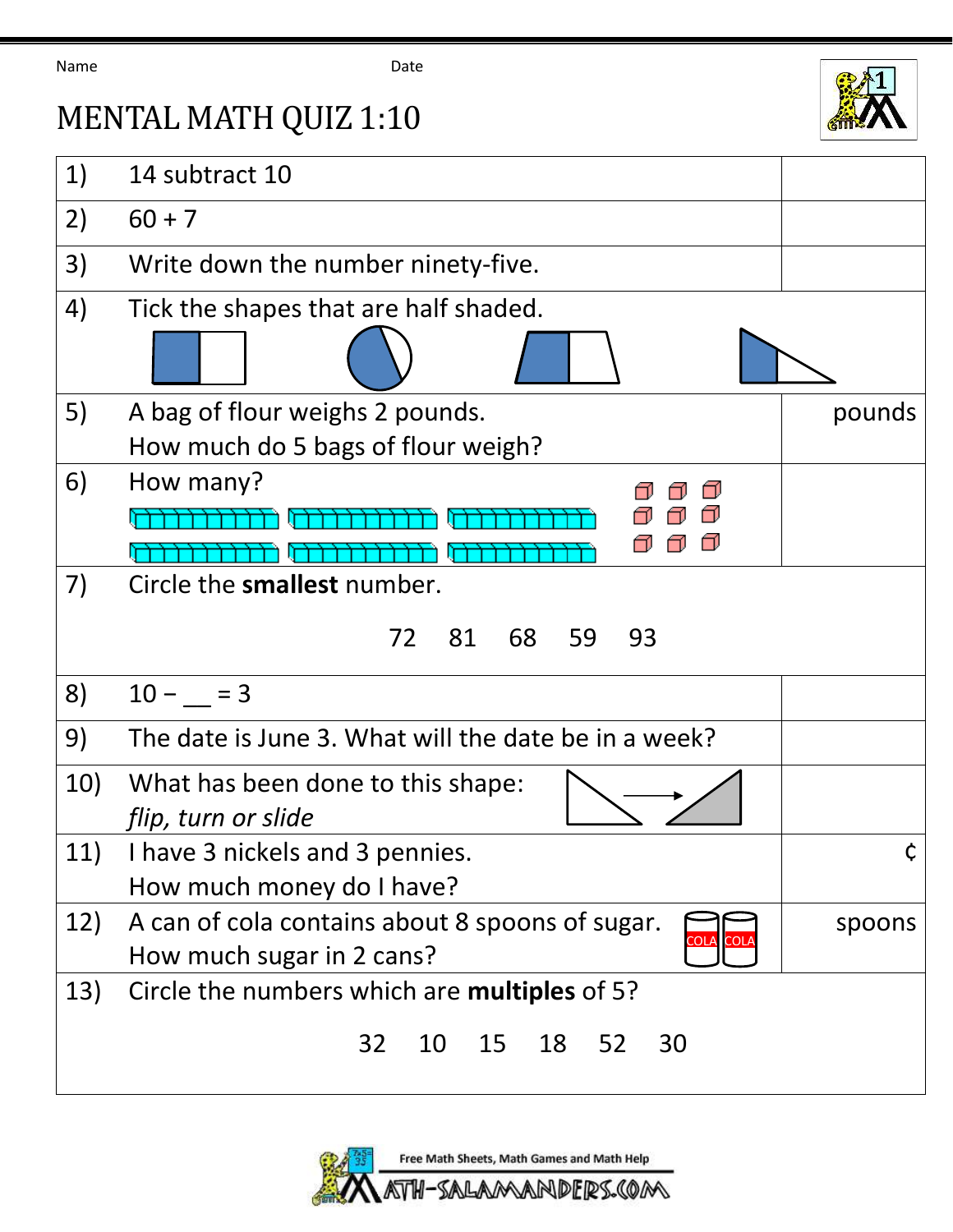Name Date



## MENTAL MATH QUIZ 1:10

| 1)  | 14 subtract 10                                       |        |
|-----|------------------------------------------------------|--------|
| 2)  | $60 + 7$                                             |        |
| 3)  | Write down the number ninety-five.                   |        |
| 4)  | Tick the shapes that are half shaded.                |        |
|     |                                                      |        |
| 5)  | A bag of flour weighs 2 pounds.                      | pounds |
|     | How much do 5 bags of flour weigh?                   |        |
| 6)  | How many?                                            |        |
|     |                                                      |        |
|     |                                                      |        |
| 7)  | Circle the smallest number.                          |        |
|     | 81<br>68<br>59<br>72<br>93                           |        |
|     |                                                      |        |
| 8)  | $10 - 3$                                             |        |
| 9)  | The date is June 3. What will the date be in a week? |        |
| 10) | What has been done to this shape:                    |        |
|     | flip, turn or slide                                  |        |
| 11) | I have 3 nickels and 3 pennies.                      | Ç      |
|     | How much money do I have?                            |        |
| 12) | A can of cola contains about 8 spoons of sugar.      | spoons |
|     | IOLA<br>How much sugar in 2 cans?                    |        |
| 13) | Circle the numbers which are <b>multiples</b> of 5?  |        |
|     | 32<br>15<br>18<br>52<br>10<br>30                     |        |